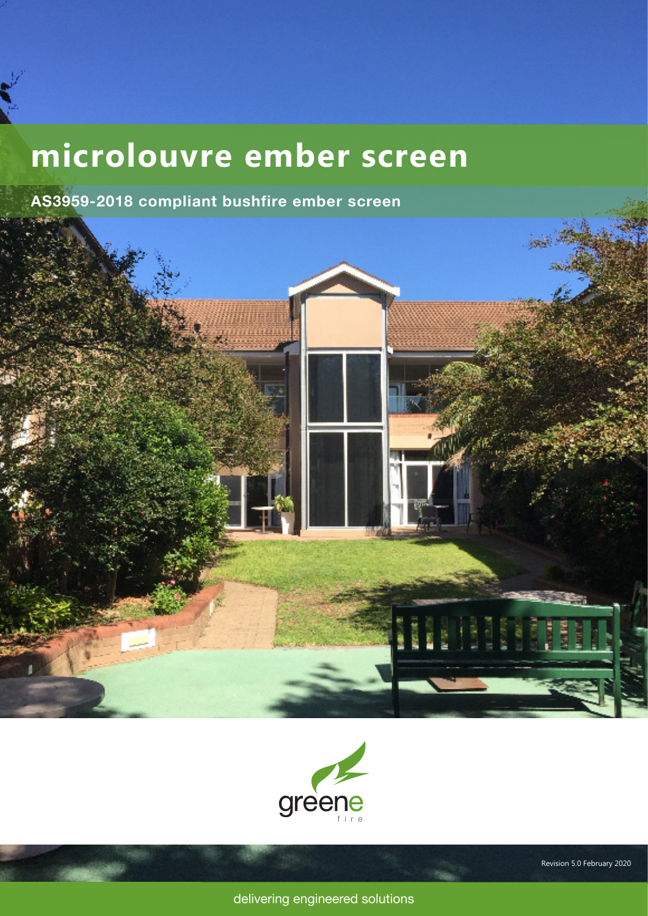# **microlouvre ember screen**

**AS3959-2018 compliant bushfire ember screen** 



delivering engineered solutions